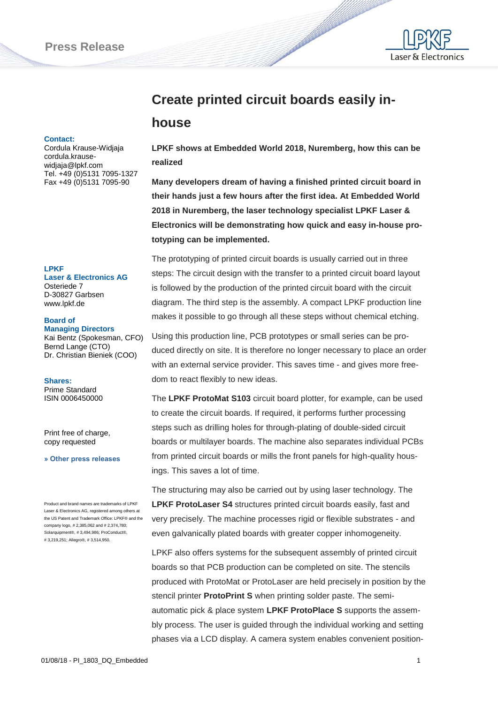

# **Create printed circuit boards easily in-**

## **house**

#### **Contact:**

Cordula Krause-Widjaja cordula.krausewidjaja@lpkf.com Tel. +49 (0)5131 7095-1327 Fax +49 (0)5131 7095-90

#### **LPKF**

**Laser & Electronics AG** Osteriede 7 D-30827 Garbsen www.lpkf.de

#### **Board of**

**Managing Directors** Kai Bentz (Spokesman, CFO) Bernd Lange (CTO) Dr. Christian Bieniek (COO)

**Shares:** Prime Standard ISIN 0006450000

Print free of charge, copy requested

**[» Other press releases](http://www.lpkf.com/press/index.htm)**

Product and brand names are trademarks of LPKF Laser & Electronics AG, registered among others at the US Patent and Trademark Office: LPKF® and the company logo, # 2,385,062 and # 2,374,780; Solarquipment®, # 3,494,986; ProConduct®, # 3,219,251; Allegro®, # 3,514,950.

**LPKF shows at Embedded World 2018, Nuremberg, how this can be realized**

**CONTRACTOR** 

**Many developers dream of having a finished printed circuit board in their hands just a few hours after the first idea. At Embedded World 2018 in Nuremberg, the laser technology specialist LPKF Laser & Electronics will be demonstrating how quick and easy in-house prototyping can be implemented.**

The prototyping of printed circuit boards is usually carried out in three steps: The circuit design with the transfer to a printed circuit board layout is followed by the production of the printed circuit board with the circuit diagram. The third step is the assembly. A compact LPKF production line makes it possible to go through all these steps without chemical etching.

Using this production line, PCB prototypes or small series can be produced directly on site. It is therefore no longer necessary to place an order with an external service provider. This saves time - and gives more freedom to react flexibly to new ideas.

The **LPKF ProtoMat S103** circuit board plotter, for example, can be used to create the circuit boards. If required, it performs further processing steps such as drilling holes for through-plating of double-sided circuit boards or multilayer boards. The machine also separates individual PCBs from printed circuit boards or mills the front panels for high-quality housings. This saves a lot of time.

The structuring may also be carried out by using laser technology. The **LPKF ProtoLaser S4** structures printed circuit boards easily, fast and very precisely. The machine processes rigid or flexible substrates - and even galvanically plated boards with greater copper inhomogeneity.

LPKF also offers systems for the subsequent assembly of printed circuit boards so that PCB production can be completed on site. The stencils produced with ProtoMat or ProtoLaser are held precisely in position by the stencil printer **ProtoPrint S** when printing solder paste. The semiautomatic pick & place system **LPKF ProtoPlace S** supports the assembly process. The user is guided through the individual working and setting phases via a LCD display. A camera system enables convenient position-